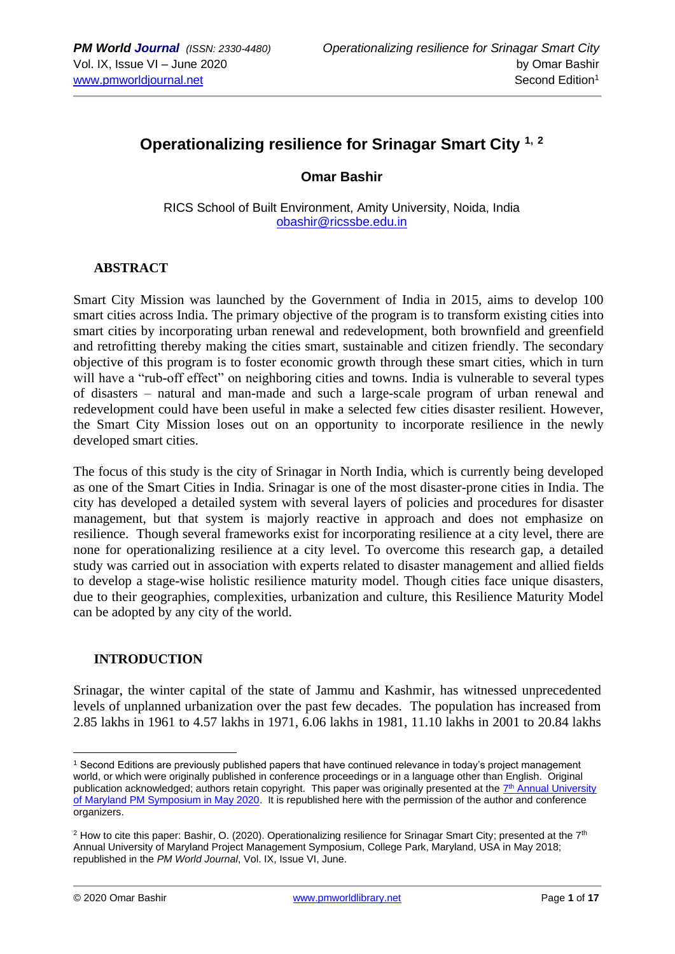# **Operationalizing resilience for Srinagar Smart City 1, <sup>2</sup>**

## **Omar Bashir**

RICS School of Built Environment, Amity University, Noida, India [obashir@ricssbe.edu.in](mailto:obashir@ricssbe.edu.in)

## **ABSTRACT**

Smart City Mission was launched by the Government of India in 2015, aims to develop 100 smart cities across India. The primary objective of the program is to transform existing cities into smart cities by incorporating urban renewal and redevelopment, both brownfield and greenfield and retrofitting thereby making the cities smart, sustainable and citizen friendly. The secondary objective of this program is to foster economic growth through these smart cities, which in turn will have a "rub-off effect" on neighboring cities and towns. India is vulnerable to several types of disasters – natural and man-made and such a large-scale program of urban renewal and redevelopment could have been useful in make a selected few cities disaster resilient. However, the Smart City Mission loses out on an opportunity to incorporate resilience in the newly developed smart cities.

The focus of this study is the city of Srinagar in North India, which is currently being developed as one of the Smart Cities in India. Srinagar is one of the most disaster-prone cities in India. The city has developed a detailed system with several layers of policies and procedures for disaster management, but that system is majorly reactive in approach and does not emphasize on resilience. Though several frameworks exist for incorporating resilience at a city level, there are none for operationalizing resilience at a city level. To overcome this research gap, a detailed study was carried out in association with experts related to disaster management and allied fields to develop a stage-wise holistic resilience maturity model. Though cities face unique disasters, due to their geographies, complexities, urbanization and culture, this Resilience Maturity Model can be adopted by any city of the world.

## **INTRODUCTION**

Srinagar, the winter capital of the state of Jammu and Kashmir, has witnessed unprecedented levels of unplanned urbanization over the past few decades. The population has increased from 2.85 lakhs in 1961 to 4.57 lakhs in 1971, 6.06 lakhs in 1981, 11.10 lakhs in 2001 to 20.84 lakhs

<sup>1</sup> Second Editions are previously published papers that have continued relevance in today's project management world, or which were originally published in conference proceedings or in a language other than English. Original publication acknowledged; authors retain copyright. This paper was originally presented at the T<sup>th</sup> Annual University [of Maryland PM Symposium in May 2020.](https://pmsymposium.umd.edu/pm2020/) It is republished here with the permission of the author and conference organizers.

<sup>&</sup>lt;sup>2</sup> How to cite this paper: Bashir, O. (2020). Operationalizing resilience for Srinagar Smart City; presented at the  $7<sup>th</sup>$ Annual University of Maryland Project Management Symposium, College Park, Maryland, USA in May 2018; republished in the *PM World Journal*, Vol. IX, Issue VI, June.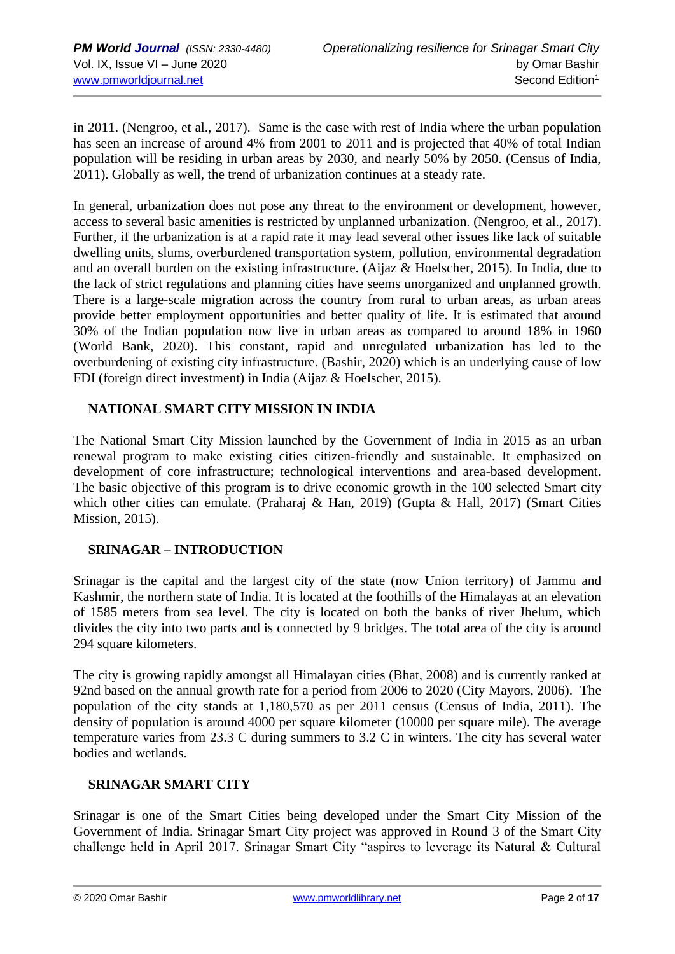in 2011. (Nengroo, et al., 2017). Same is the case with rest of India where the urban population has seen an increase of around 4% from 2001 to 2011 and is projected that 40% of total Indian population will be residing in urban areas by 2030, and nearly 50% by 2050. (Census of India, 2011). Globally as well, the trend of urbanization continues at a steady rate.

In general, urbanization does not pose any threat to the environment or development, however, access to several basic amenities is restricted by unplanned urbanization. (Nengroo, et al., 2017). Further, if the urbanization is at a rapid rate it may lead several other issues like lack of suitable dwelling units, slums, overburdened transportation system, pollution, environmental degradation and an overall burden on the existing infrastructure. (Aijaz & Hoelscher, 2015). In India, due to the lack of strict regulations and planning cities have seems unorganized and unplanned growth. There is a large-scale migration across the country from rural to urban areas, as urban areas provide better employment opportunities and better quality of life. It is estimated that around 30% of the Indian population now live in urban areas as compared to around 18% in 1960 (World Bank, 2020). This constant, rapid and unregulated urbanization has led to the overburdening of existing city infrastructure. (Bashir, 2020) which is an underlying cause of low FDI (foreign direct investment) in India (Aijaz & Hoelscher, 2015).

## **NATIONAL SMART CITY MISSION IN INDIA**

The National Smart City Mission launched by the Government of India in 2015 as an urban renewal program to make existing cities citizen-friendly and sustainable. It emphasized on development of core infrastructure; technological interventions and area-based development. The basic objective of this program is to drive economic growth in the 100 selected Smart city which other cities can emulate. (Praharaj & Han, 2019) (Gupta & Hall, 2017) (Smart Cities Mission, 2015).

## **SRINAGAR – INTRODUCTION**

Srinagar is the capital and the largest city of the state (now Union territory) of Jammu and Kashmir, the northern state of India. It is located at the foothills of the Himalayas at an elevation of 1585 meters from sea level. The city is located on both the banks of river Jhelum, which divides the city into two parts and is connected by 9 bridges. The total area of the city is around 294 square kilometers.

The city is growing rapidly amongst all Himalayan cities (Bhat, 2008) and is currently ranked at 92nd based on the annual growth rate for a period from 2006 to 2020 (City Mayors, 2006). The population of the city stands at 1,180,570 as per 2011 census (Census of India, 2011). The density of population is around 4000 per square kilometer (10000 per square mile). The average temperature varies from 23.3 C during summers to 3.2 C in winters. The city has several water bodies and wetlands.

## **SRINAGAR SMART CITY**

Srinagar is one of the Smart Cities being developed under the Smart City Mission of the Government of India. Srinagar Smart City project was approved in Round 3 of the Smart City challenge held in April 2017. Srinagar Smart City "aspires to leverage its Natural & Cultural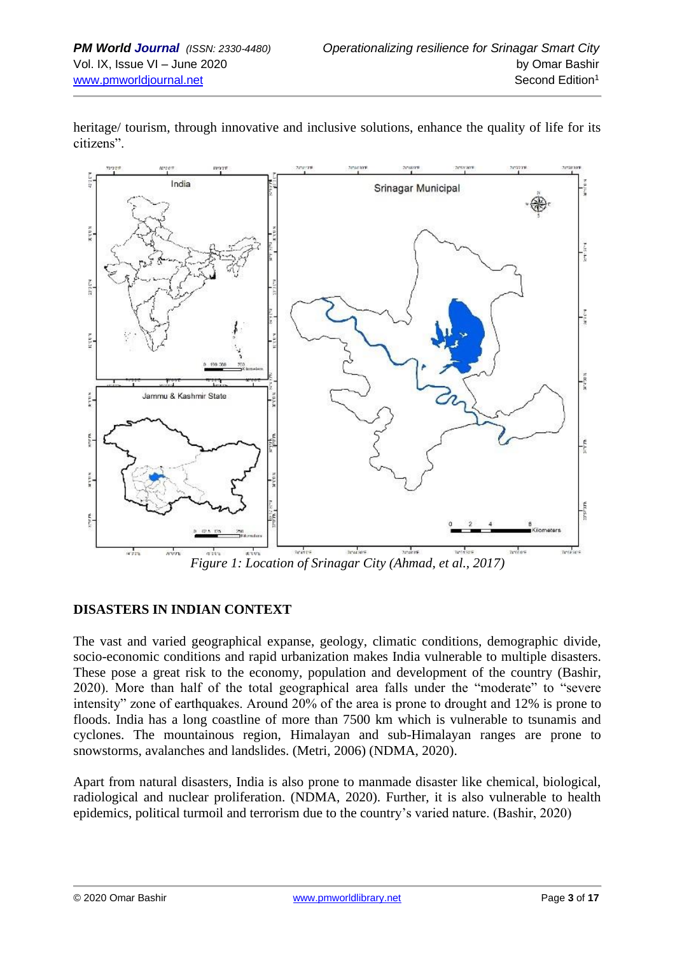

heritage/ tourism, through innovative and inclusive solutions, enhance the quality of life for its citizens".

*Figure 1: Location of Srinagar City (Ahmad, et al., 2017)*

## **DISASTERS IN INDIAN CONTEXT**

The vast and varied geographical expanse, geology, climatic conditions, demographic divide, socio-economic conditions and rapid urbanization makes India vulnerable to multiple disasters. These pose a great risk to the economy, population and development of the country (Bashir, 2020). More than half of the total geographical area falls under the "moderate" to "severe intensity" zone of earthquakes. Around 20% of the area is prone to drought and 12% is prone to floods. India has a long coastline of more than 7500 km which is vulnerable to tsunamis and cyclones. The mountainous region, Himalayan and sub-Himalayan ranges are prone to snowstorms, avalanches and landslides. (Metri, 2006) (NDMA, 2020).

Apart from natural disasters, India is also prone to manmade disaster like chemical, biological, radiological and nuclear proliferation. (NDMA, 2020). Further, it is also vulnerable to health epidemics, political turmoil and terrorism due to the country's varied nature. (Bashir, 2020)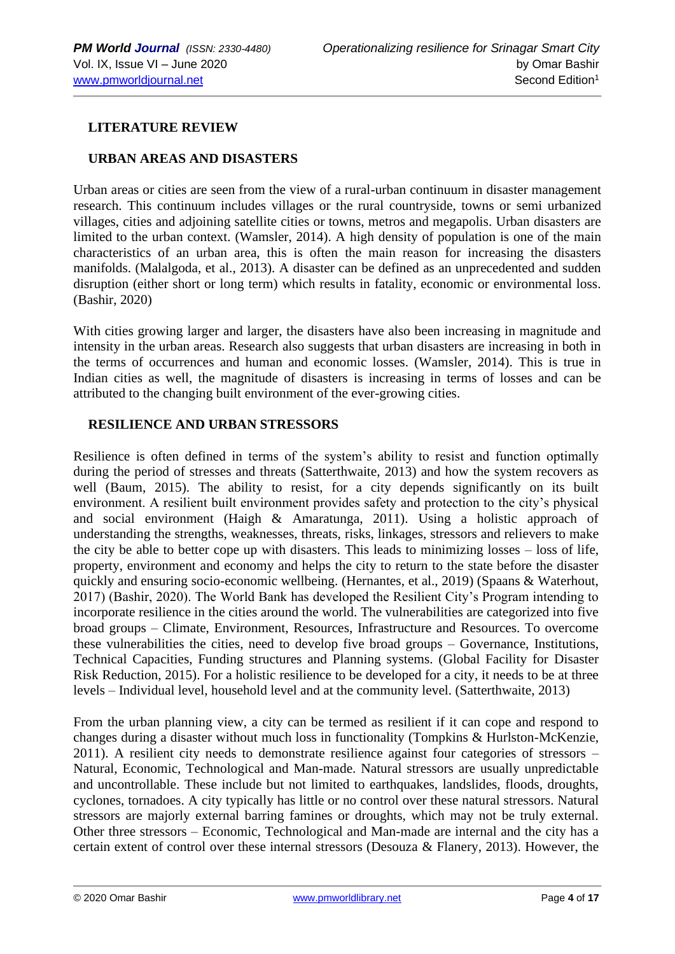## **LITERATURE REVIEW**

## **URBAN AREAS AND DISASTERS**

Urban areas or cities are seen from the view of a rural-urban continuum in disaster management research. This continuum includes villages or the rural countryside, towns or semi urbanized villages, cities and adjoining satellite cities or towns, metros and megapolis. Urban disasters are limited to the urban context. (Wamsler, 2014). A high density of population is one of the main characteristics of an urban area, this is often the main reason for increasing the disasters manifolds. (Malalgoda, et al., 2013). A disaster can be defined as an unprecedented and sudden disruption (either short or long term) which results in fatality, economic or environmental loss. (Bashir, 2020)

With cities growing larger and larger, the disasters have also been increasing in magnitude and intensity in the urban areas. Research also suggests that urban disasters are increasing in both in the terms of occurrences and human and economic losses. (Wamsler, 2014). This is true in Indian cities as well, the magnitude of disasters is increasing in terms of losses and can be attributed to the changing built environment of the ever-growing cities.

#### **RESILIENCE AND URBAN STRESSORS**

Resilience is often defined in terms of the system's ability to resist and function optimally during the period of stresses and threats (Satterthwaite, 2013) and how the system recovers as well (Baum, 2015). The ability to resist, for a city depends significantly on its built environment. A resilient built environment provides safety and protection to the city's physical and social environment (Haigh & Amaratunga, 2011). Using a holistic approach of understanding the strengths, weaknesses, threats, risks, linkages, stressors and relievers to make the city be able to better cope up with disasters. This leads to minimizing losses – loss of life, property, environment and economy and helps the city to return to the state before the disaster quickly and ensuring socio-economic wellbeing. (Hernantes, et al., 2019) (Spaans & Waterhout, 2017) (Bashir, 2020). The World Bank has developed the Resilient City's Program intending to incorporate resilience in the cities around the world. The vulnerabilities are categorized into five broad groups – Climate, Environment, Resources, Infrastructure and Resources. To overcome these vulnerabilities the cities, need to develop five broad groups – Governance, Institutions, Technical Capacities, Funding structures and Planning systems. (Global Facility for Disaster Risk Reduction, 2015). For a holistic resilience to be developed for a city, it needs to be at three levels – Individual level, household level and at the community level. (Satterthwaite, 2013)

From the urban planning view, a city can be termed as resilient if it can cope and respond to changes during a disaster without much loss in functionality (Tompkins & Hurlston-McKenzie, 2011). A resilient city needs to demonstrate resilience against four categories of stressors – Natural, Economic, Technological and Man-made. Natural stressors are usually unpredictable and uncontrollable. These include but not limited to earthquakes, landslides, floods, droughts, cyclones, tornadoes. A city typically has little or no control over these natural stressors. Natural stressors are majorly external barring famines or droughts, which may not be truly external. Other three stressors – Economic, Technological and Man-made are internal and the city has a certain extent of control over these internal stressors (Desouza & Flanery, 2013). However, the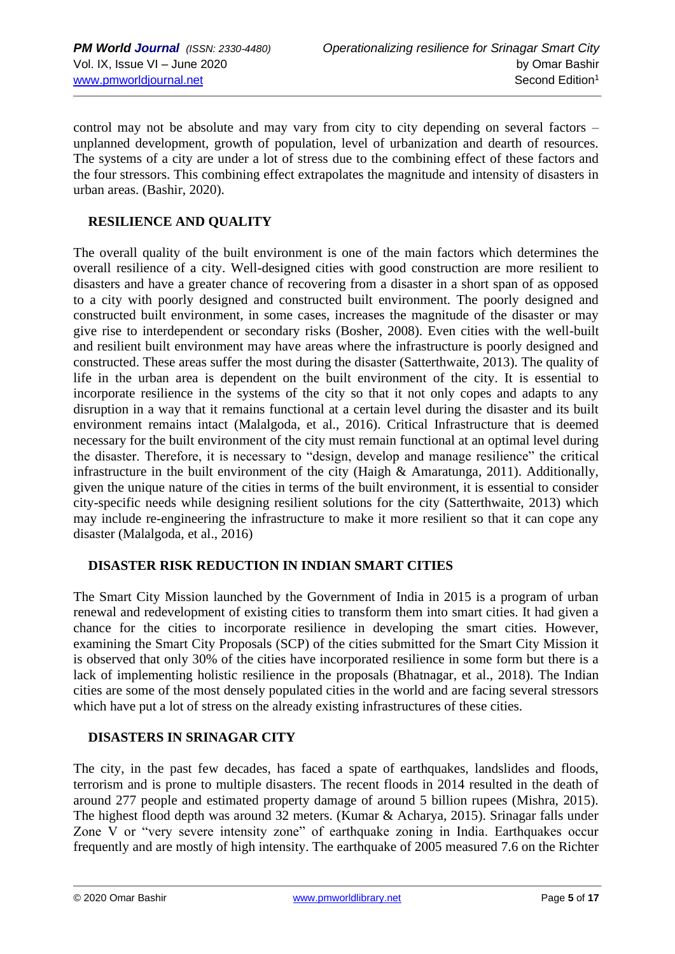control may not be absolute and may vary from city to city depending on several factors – unplanned development, growth of population, level of urbanization and dearth of resources. The systems of a city are under a lot of stress due to the combining effect of these factors and the four stressors. This combining effect extrapolates the magnitude and intensity of disasters in urban areas. (Bashir, 2020).

## **RESILIENCE AND QUALITY**

The overall quality of the built environment is one of the main factors which determines the overall resilience of a city. Well-designed cities with good construction are more resilient to disasters and have a greater chance of recovering from a disaster in a short span of as opposed to a city with poorly designed and constructed built environment. The poorly designed and constructed built environment, in some cases, increases the magnitude of the disaster or may give rise to interdependent or secondary risks (Bosher, 2008). Even cities with the well-built and resilient built environment may have areas where the infrastructure is poorly designed and constructed. These areas suffer the most during the disaster (Satterthwaite, 2013). The quality of life in the urban area is dependent on the built environment of the city. It is essential to incorporate resilience in the systems of the city so that it not only copes and adapts to any disruption in a way that it remains functional at a certain level during the disaster and its built environment remains intact (Malalgoda, et al., 2016). Critical Infrastructure that is deemed necessary for the built environment of the city must remain functional at an optimal level during the disaster. Therefore, it is necessary to "design, develop and manage resilience" the critical infrastructure in the built environment of the city (Haigh & Amaratunga, 2011). Additionally, given the unique nature of the cities in terms of the built environment, it is essential to consider city-specific needs while designing resilient solutions for the city (Satterthwaite, 2013) which may include re-engineering the infrastructure to make it more resilient so that it can cope any disaster (Malalgoda, et al., 2016)

## **DISASTER RISK REDUCTION IN INDIAN SMART CITIES**

The Smart City Mission launched by the Government of India in 2015 is a program of urban renewal and redevelopment of existing cities to transform them into smart cities. It had given a chance for the cities to incorporate resilience in developing the smart cities. However, examining the Smart City Proposals (SCP) of the cities submitted for the Smart City Mission it is observed that only 30% of the cities have incorporated resilience in some form but there is a lack of implementing holistic resilience in the proposals (Bhatnagar, et al., 2018). The Indian cities are some of the most densely populated cities in the world and are facing several stressors which have put a lot of stress on the already existing infrastructures of these cities.

## **DISASTERS IN SRINAGAR CITY**

The city, in the past few decades, has faced a spate of earthquakes, landslides and floods, terrorism and is prone to multiple disasters. The recent floods in 2014 resulted in the death of around 277 people and estimated property damage of around 5 billion rupees (Mishra, 2015). The highest flood depth was around 32 meters. (Kumar & Acharya, 2015). Srinagar falls under Zone V or "very severe intensity zone" of earthquake zoning in India. Earthquakes occur frequently and are mostly of high intensity. The earthquake of 2005 measured 7.6 on the Richter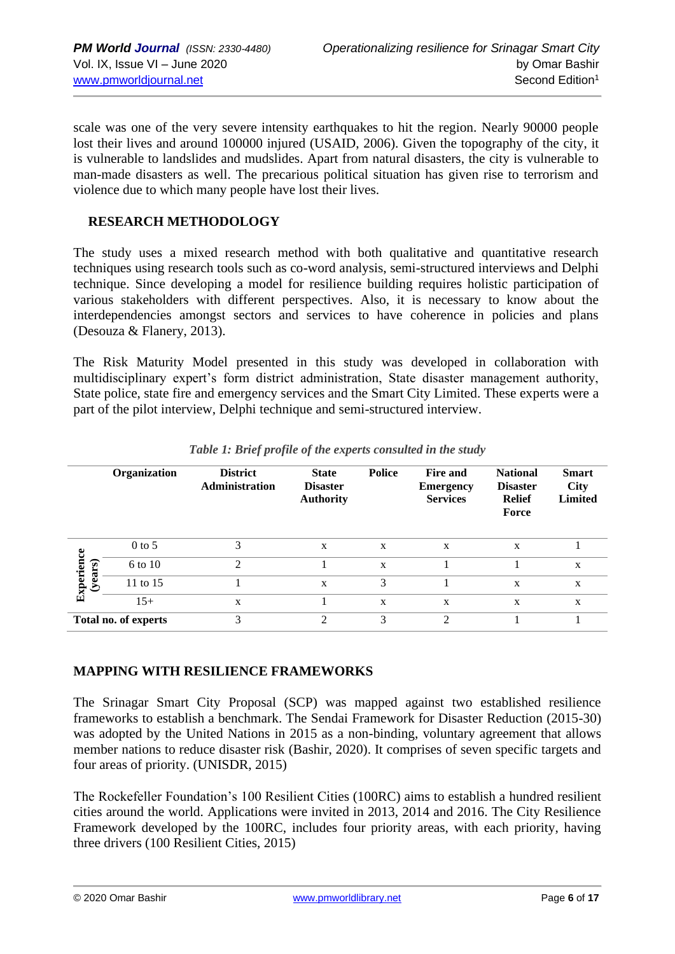scale was one of the very severe intensity earthquakes to hit the region. Nearly 90000 people lost their lives and around 100000 injured (USAID, 2006). Given the topography of the city, it is vulnerable to landslides and mudslides. Apart from natural disasters, the city is vulnerable to man-made disasters as well. The precarious political situation has given rise to terrorism and violence due to which many people have lost their lives.

## **RESEARCH METHODOLOGY**

The study uses a mixed research method with both qualitative and quantitative research techniques using research tools such as co-word analysis, semi-structured interviews and Delphi technique. Since developing a model for resilience building requires holistic participation of various stakeholders with different perspectives. Also, it is necessary to know about the interdependencies amongst sectors and services to have coherence in policies and plans (Desouza & Flanery, 2013).

The Risk Maturity Model presented in this study was developed in collaboration with multidisciplinary expert's form district administration, State disaster management authority, State police, state fire and emergency services and the Smart City Limited. These experts were a part of the pilot interview, Delphi technique and semi-structured interview.

|                      | Organization | <b>District</b><br><b>Administration</b> | <b>State</b><br><b>Disaster</b><br><b>Authority</b> | <b>Police</b> | <b>Fire and</b><br><b>Emergency</b><br><b>Services</b> | <b>National</b><br><b>Disaster</b><br><b>Relief</b><br>Force | <b>Smart</b><br><b>City</b><br><b>Limited</b> |
|----------------------|--------------|------------------------------------------|-----------------------------------------------------|---------------|--------------------------------------------------------|--------------------------------------------------------------|-----------------------------------------------|
| Experience           | $0$ to 5     | 3                                        | X                                                   | X             | X                                                      | X                                                            |                                               |
|                      | 6 to 10      | $\mathfrak{D}$                           |                                                     | X             |                                                        |                                                              | X                                             |
| (years)              | 11 to 15     |                                          | X                                                   | 3             |                                                        | X                                                            | X                                             |
|                      | $15+$        | X                                        |                                                     | X             | X                                                      | X                                                            | X                                             |
| Total no. of experts |              | 3                                        | $\gamma$                                            | 3             | $\mathfrak{D}$                                         |                                                              |                                               |

*Table 1: Brief profile of the experts consulted in the study*

## **MAPPING WITH RESILIENCE FRAMEWORKS**

The Srinagar Smart City Proposal (SCP) was mapped against two established resilience frameworks to establish a benchmark. The Sendai Framework for Disaster Reduction (2015-30) was adopted by the United Nations in 2015 as a non-binding, voluntary agreement that allows member nations to reduce disaster risk (Bashir, 2020). It comprises of seven specific targets and four areas of priority. (UNISDR, 2015)

The Rockefeller Foundation's 100 Resilient Cities (100RC) aims to establish a hundred resilient cities around the world. Applications were invited in 2013, 2014 and 2016. The City Resilience Framework developed by the 100RC, includes four priority areas, with each priority, having three drivers (100 Resilient Cities, 2015)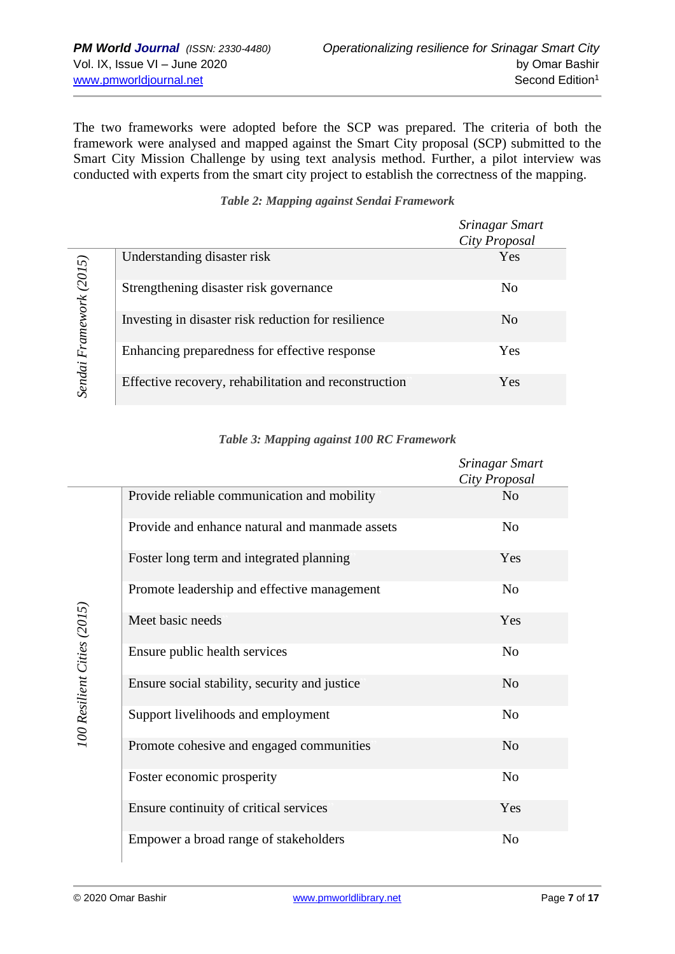The two frameworks were adopted before the SCP was prepared. The criteria of both the framework were analysed and mapped against the Smart City proposal (SCP) submitted to the Smart City Mission Challenge by using text analysis method. Further, a pilot interview was conducted with experts from the smart city project to establish the correctness of the mapping.

|                  |                                                       | Srinagar Smart<br>City Proposal |
|------------------|-------------------------------------------------------|---------------------------------|
|                  | Understanding disaster risk                           | Yes                             |
|                  | Strengthening disaster risk governance                | N <sub>0</sub>                  |
| Framework (2015) | Investing in disaster risk reduction for resilience   | N <sub>0</sub>                  |
| Sendai           | Enhancing preparedness for effective response         | Yes                             |
|                  | Effective recovery, rehabilitation and reconstruction | Yes                             |

## *Table 2: Mapping against Sendai Framework*

| Table 3: Mapping against 100 RC Framework |  |  |  |
|-------------------------------------------|--|--|--|
|-------------------------------------------|--|--|--|

|                                                | Srinagar Smart<br>City Proposal |
|------------------------------------------------|---------------------------------|
| Provide reliable communication and mobility    | N <sub>o</sub>                  |
| Provide and enhance natural and manmade assets | N <sub>o</sub>                  |
| Foster long term and integrated planning       | Yes                             |
| Promote leadership and effective management    | N <sub>o</sub>                  |
| Meet basic needs                               | Yes                             |
| Ensure public health services                  | N <sub>o</sub>                  |
| Ensure social stability, security and justice  | N <sub>o</sub>                  |
| Support livelihoods and employment             | N <sub>o</sub>                  |
| Promote cohesive and engaged communities       | N <sub>o</sub>                  |
| Foster economic prosperity                     | N <sub>0</sub>                  |
| Ensure continuity of critical services         | Yes                             |
| Empower a broad range of stakeholders          | N <sub>o</sub>                  |

100 Resilient Cities (2015) *100 Resilient Cities (2015)*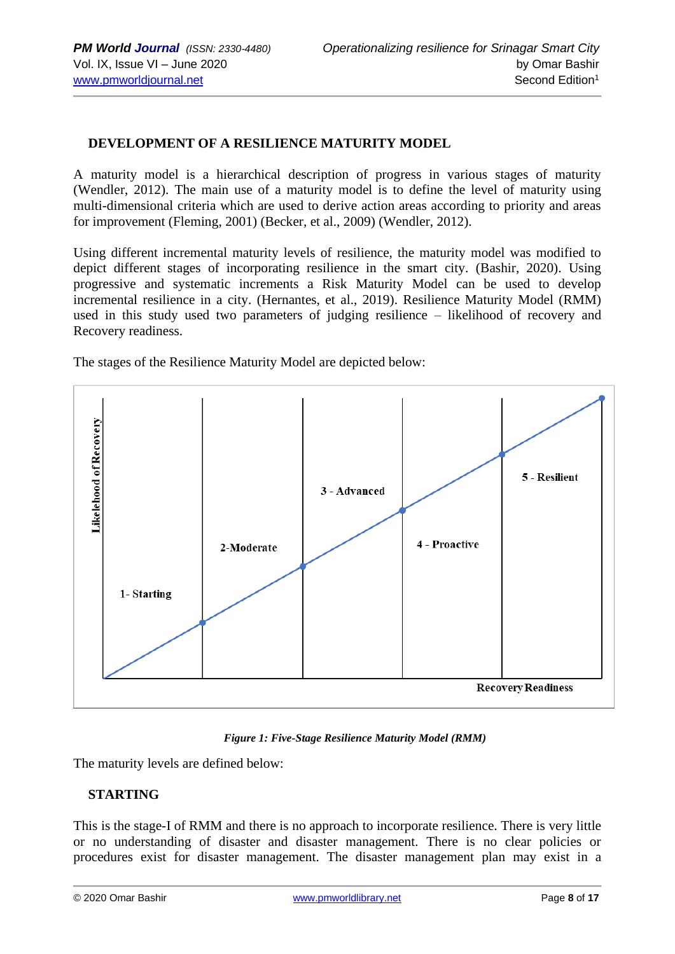## **DEVELOPMENT OF A RESILIENCE MATURITY MODEL**

A maturity model is a hierarchical description of progress in various stages of maturity (Wendler, 2012). The main use of a maturity model is to define the level of maturity using multi-dimensional criteria which are used to derive action areas according to priority and areas for improvement (Fleming, 2001) (Becker, et al., 2009) (Wendler, 2012).

Using different incremental maturity levels of resilience, the maturity model was modified to depict different stages of incorporating resilience in the smart city. (Bashir, 2020). Using progressive and systematic increments a Risk Maturity Model can be used to develop incremental resilience in a city. (Hernantes, et al., 2019). Resilience Maturity Model (RMM) used in this study used two parameters of judging resilience – likelihood of recovery and Recovery readiness.

The stages of the Resilience Maturity Model are depicted below:



*Figure 1: Five-Stage Resilience Maturity Model (RMM)*

The maturity levels are defined below:

## **STARTING**

This is the stage-I of RMM and there is no approach to incorporate resilience. There is very little or no understanding of disaster and disaster management. There is no clear policies or procedures exist for disaster management. The disaster management plan may exist in a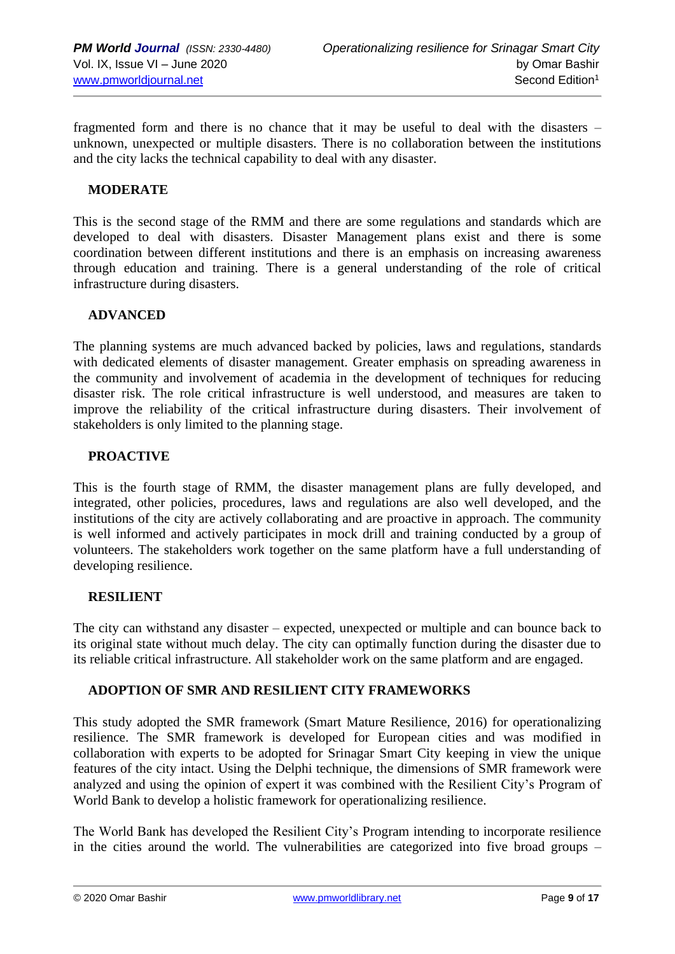fragmented form and there is no chance that it may be useful to deal with the disasters – unknown, unexpected or multiple disasters. There is no collaboration between the institutions and the city lacks the technical capability to deal with any disaster.

## **MODERATE**

This is the second stage of the RMM and there are some regulations and standards which are developed to deal with disasters. Disaster Management plans exist and there is some coordination between different institutions and there is an emphasis on increasing awareness through education and training. There is a general understanding of the role of critical infrastructure during disasters.

## **ADVANCED**

The planning systems are much advanced backed by policies, laws and regulations, standards with dedicated elements of disaster management. Greater emphasis on spreading awareness in the community and involvement of academia in the development of techniques for reducing disaster risk. The role critical infrastructure is well understood, and measures are taken to improve the reliability of the critical infrastructure during disasters. Their involvement of stakeholders is only limited to the planning stage.

## **PROACTIVE**

This is the fourth stage of RMM, the disaster management plans are fully developed, and integrated, other policies, procedures, laws and regulations are also well developed, and the institutions of the city are actively collaborating and are proactive in approach. The community is well informed and actively participates in mock drill and training conducted by a group of volunteers. The stakeholders work together on the same platform have a full understanding of developing resilience.

## **RESILIENT**

The city can withstand any disaster – expected, unexpected or multiple and can bounce back to its original state without much delay. The city can optimally function during the disaster due to its reliable critical infrastructure. All stakeholder work on the same platform and are engaged.

## **ADOPTION OF SMR AND RESILIENT CITY FRAMEWORKS**

This study adopted the SMR framework (Smart Mature Resilience, 2016) for operationalizing resilience. The SMR framework is developed for European cities and was modified in collaboration with experts to be adopted for Srinagar Smart City keeping in view the unique features of the city intact. Using the Delphi technique, the dimensions of SMR framework were analyzed and using the opinion of expert it was combined with the Resilient City's Program of World Bank to develop a holistic framework for operationalizing resilience.

The World Bank has developed the Resilient City's Program intending to incorporate resilience in the cities around the world. The vulnerabilities are categorized into five broad groups –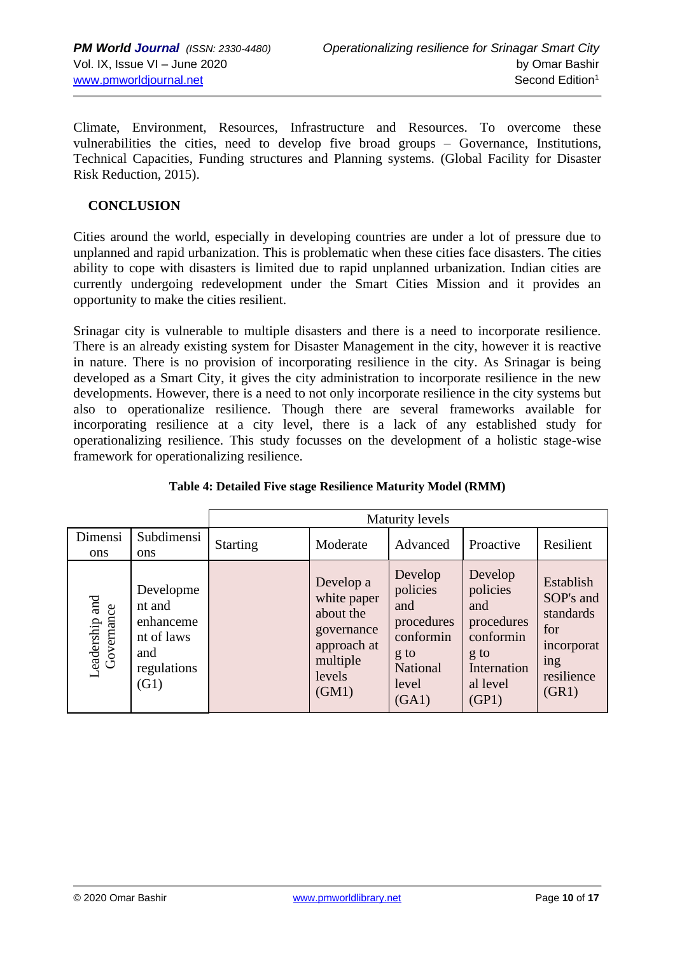Climate, Environment, Resources, Infrastructure and Resources. To overcome these vulnerabilities the cities, need to develop five broad groups – Governance, Institutions, Technical Capacities, Funding structures and Planning systems. (Global Facility for Disaster Risk Reduction, 2015).

## **CONCLUSION**

Cities around the world, especially in developing countries are under a lot of pressure due to unplanned and rapid urbanization. This is problematic when these cities face disasters. The cities ability to cope with disasters is limited due to rapid unplanned urbanization. Indian cities are currently undergoing redevelopment under the Smart Cities Mission and it provides an opportunity to make the cities resilient.

Srinagar city is vulnerable to multiple disasters and there is a need to incorporate resilience. There is an already existing system for Disaster Management in the city, however it is reactive in nature. There is no provision of incorporating resilience in the city. As Srinagar is being developed as a Smart City, it gives the city administration to incorporate resilience in the new developments. However, there is a need to not only incorporate resilience in the city systems but also to operationalize resilience. Though there are several frameworks available for incorporating resilience at a city level, there is a lack of any established study for operationalizing resilience. This study focusses on the development of a holistic stage-wise framework for operationalizing resilience.

|                              |                                                                              |                 |                                                                                                   | <b>Maturity levels</b>                                                                      |                                                                                                   |                                                                                        |
|------------------------------|------------------------------------------------------------------------------|-----------------|---------------------------------------------------------------------------------------------------|---------------------------------------------------------------------------------------------|---------------------------------------------------------------------------------------------------|----------------------------------------------------------------------------------------|
| Dimensi<br><b>ons</b>        | Subdimensi<br><b>ons</b>                                                     | <b>Starting</b> | Moderate                                                                                          | Advanced                                                                                    | Proactive                                                                                         | Resilient                                                                              |
| Leadership and<br>Governance | Developme<br>nt and<br>enhanceme<br>nt of laws<br>and<br>regulations<br>(G1) |                 | Develop a<br>white paper<br>about the<br>governance<br>approach at<br>multiple<br>levels<br>(GM1) | Develop<br>policies<br>and<br>procedures<br>conformin<br>g to<br>National<br>level<br>(GA1) | Develop<br>policies<br>and<br>procedures<br>conformin<br>g to<br>Internation<br>al level<br>(GP1) | Establish<br>SOP's and<br>standards<br>for<br>incorporat<br>ing<br>resilience<br>(GR1) |

## **Table 4: Detailed Five stage Resilience Maturity Model (RMM)**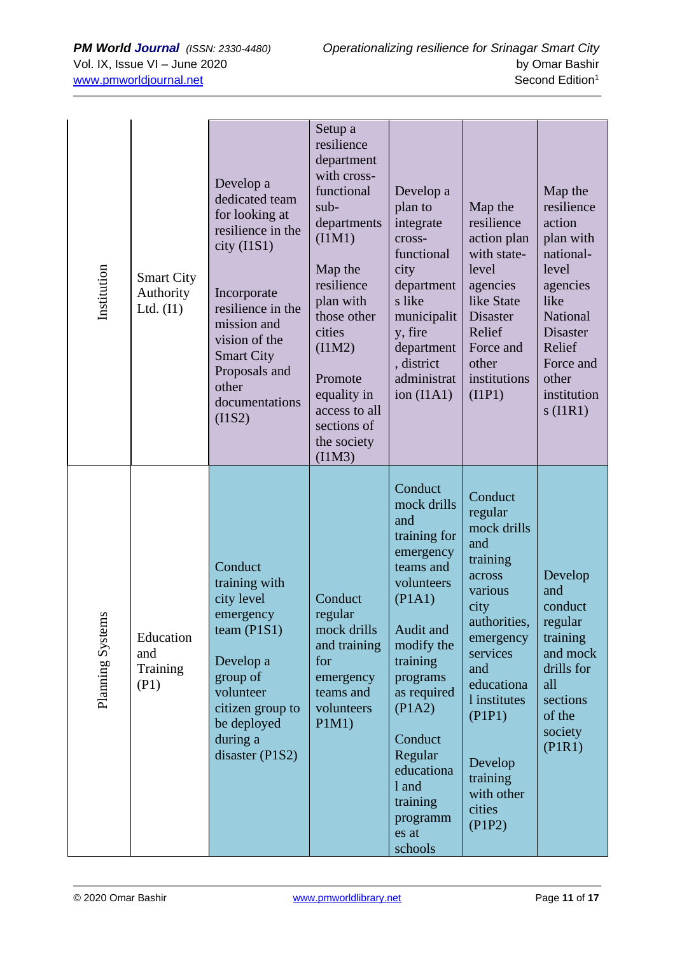| Institution      | <b>Smart City</b><br>Authority<br>Ltd. $(11)$ | Develop a<br>dedicated team<br>for looking at<br>resilience in the<br>$city$ (I1S1)<br>Incorporate<br>resilience in the<br>mission and<br>vision of the<br><b>Smart City</b><br>Proposals and<br>other<br>documentations<br>(11S2) | Setup a<br>resilience<br>department<br>with cross-<br>functional<br>$sub-$<br>departments<br>(IIM1)<br>Map the<br>resilience<br>plan with<br>those other<br>cities<br>(IIM2)<br>Promote<br>equality in<br>access to all<br>sections of<br>the society<br>(IIM3) | Develop a<br>plan to<br>integrate<br>cross-<br>functional<br>city<br>department<br>s like<br>municipalit<br>y, fire<br>department<br>, district<br>administrat<br>ion $(IIA1)$                                                                                       | Map the<br>resilience<br>action plan<br>with state-<br>level<br>agencies<br>like State<br><b>Disaster</b><br>Relief<br>Force and<br>other<br>institutions<br>(IIP1)                                                                | Map the<br>resilience<br>action<br>plan with<br>national-<br>level<br>agencies<br>like<br>National<br><b>Disaster</b><br>Relief<br>Force and<br>other<br>institution<br>$s$ (I1R1) |
|------------------|-----------------------------------------------|------------------------------------------------------------------------------------------------------------------------------------------------------------------------------------------------------------------------------------|-----------------------------------------------------------------------------------------------------------------------------------------------------------------------------------------------------------------------------------------------------------------|----------------------------------------------------------------------------------------------------------------------------------------------------------------------------------------------------------------------------------------------------------------------|------------------------------------------------------------------------------------------------------------------------------------------------------------------------------------------------------------------------------------|------------------------------------------------------------------------------------------------------------------------------------------------------------------------------------|
| Planning Systems | Education<br>and<br>Training<br>(P1)          | Conduct<br>training with<br>city level<br>emergency<br>team $(P1S1)$<br>Develop a<br>group of<br>volunteer<br>citizen group to<br>be deployed<br>during a<br>disaster (P1S2)                                                       | Conduct<br>regular<br>mock drills<br>and training<br>for<br>emergency<br>teams and<br>volunteers<br>P1M1)                                                                                                                                                       | Conduct<br>mock drills<br>and<br>training for<br>emergency<br>teams and<br>volunteers<br>(PIA1)<br>Audit and<br>modify the<br>training<br>programs<br>as required<br>(PIA2)<br>Conduct<br>Regular<br>educationa<br>1 and<br>training<br>programm<br>es at<br>schools | Conduct<br>regular<br>mock drills<br>and<br>training<br>across<br>various<br>city<br>authorities,<br>emergency<br>services<br>and<br>educationa<br>1 institutes<br>(PIP1)<br>Develop<br>training<br>with other<br>cities<br>(PIP2) | Develop<br>and<br>conduct<br>regular<br>training<br>and mock<br>drills for<br>all<br>sections<br>of the<br>society<br>(PIR1)                                                       |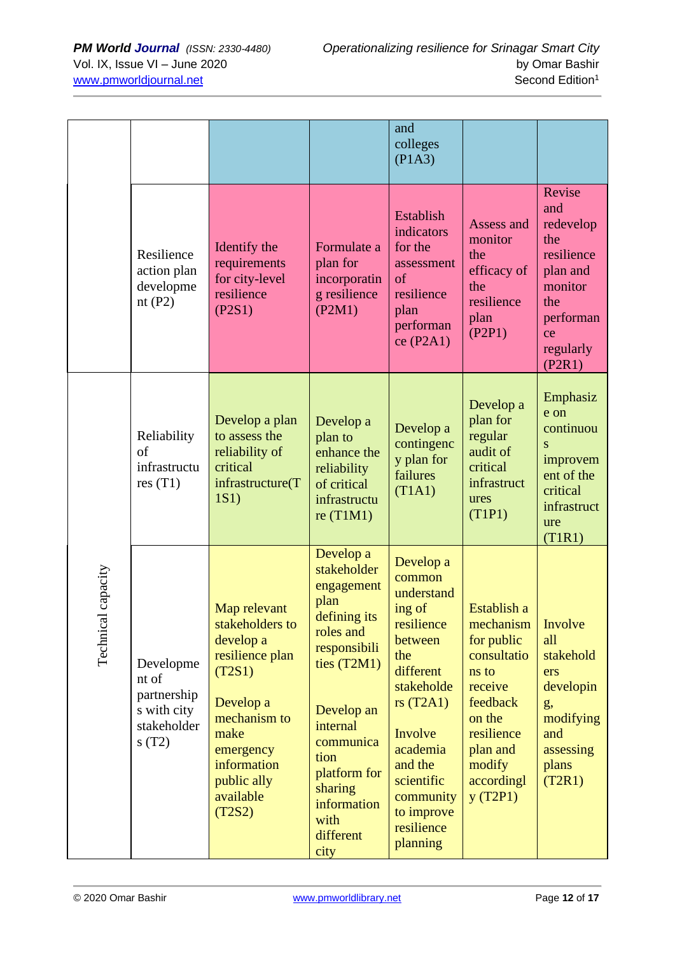|                        |                                                                          |                                                                                                                                                                                  |                                                                                                                                                                                                                                    | and<br>colleges<br>(PIA3)                                                                                                                                                                                                  |                                                                                                                                                                        |                                                                                                                         |
|------------------------|--------------------------------------------------------------------------|----------------------------------------------------------------------------------------------------------------------------------------------------------------------------------|------------------------------------------------------------------------------------------------------------------------------------------------------------------------------------------------------------------------------------|----------------------------------------------------------------------------------------------------------------------------------------------------------------------------------------------------------------------------|------------------------------------------------------------------------------------------------------------------------------------------------------------------------|-------------------------------------------------------------------------------------------------------------------------|
|                        | Resilience<br>action plan<br>developme<br>nt $(P2)$                      | Identify the<br>requirements<br>for city-level<br>resilience<br>(P2S1)                                                                                                           | Formulate a<br>plan for<br>incorporatin<br>g resilience<br>(P2M1)                                                                                                                                                                  | Establish<br>indicators<br>for the<br>assessment<br>of<br>resilience<br>plan<br>performan<br>ce(P2A1)                                                                                                                      | Assess and<br>monitor<br>the<br>efficacy of<br>the<br>resilience<br>plan<br>(P2P1)                                                                                     | Revise<br>and<br>redevelop<br>the<br>resilience<br>plan and<br>monitor<br>the<br>performan<br>ce<br>regularly<br>(P2R1) |
|                        | Reliability<br>of<br>infrastructu<br>res(T1)                             | Develop a plan<br>to assess the<br>reliability of<br>critical<br>infrastructure(T<br>1S1)                                                                                        | Develop a<br>plan to<br>enhance the<br>reliability<br>of critical<br>infrastructu<br>re $(T1M1)$                                                                                                                                   | Develop a<br>contingenc<br>y plan for<br>failures<br>(T1A1)                                                                                                                                                                | Develop a<br>plan for<br>regular<br>audit of<br>critical<br>infrastruct<br>ures<br>(T1P1)                                                                              | Emphasiz<br>e on<br>continuou<br>S<br>improvem<br>ent of the<br>critical<br>infrastruct<br>ure<br>(T1R1)                |
| al capacity<br>Technic | Developme<br>nt of<br>partnership<br>s with city<br>stakeholder<br>s(T2) | Map relevant<br>stakeholders to<br>develop a<br>resilience plan<br>(T2S1)<br>Develop a<br>mechanism to<br>make<br>emergency<br>information<br>public ally<br>available<br>(T2S2) | Develop a<br>stakeholder<br>engagement<br>plan<br>defining its<br>roles and<br>responsibili<br>ties $(T2M1)$<br>Develop an<br>internal<br>communica<br>tion<br>platform for<br>sharing<br>information<br>with<br>different<br>city | Develop a<br>common<br>understand<br>ing of<br>resilience<br>between<br>the<br>different<br>stakeholde<br>rs $(T2A1)$<br>Involve<br>academia<br>and the<br>scientific<br>community<br>to improve<br>resilience<br>planning | Establish a<br>mechanism   Involve<br>for public<br>consultatio<br>ns to<br>receive<br>feedback<br>on the<br>resilience<br>plan and<br>modify<br>accordingl<br>y(T2P1) | all<br>stakehold<br>ers<br>developin<br>g,<br>modifying<br>and<br>assessing<br>plans<br>(T2R1)                          |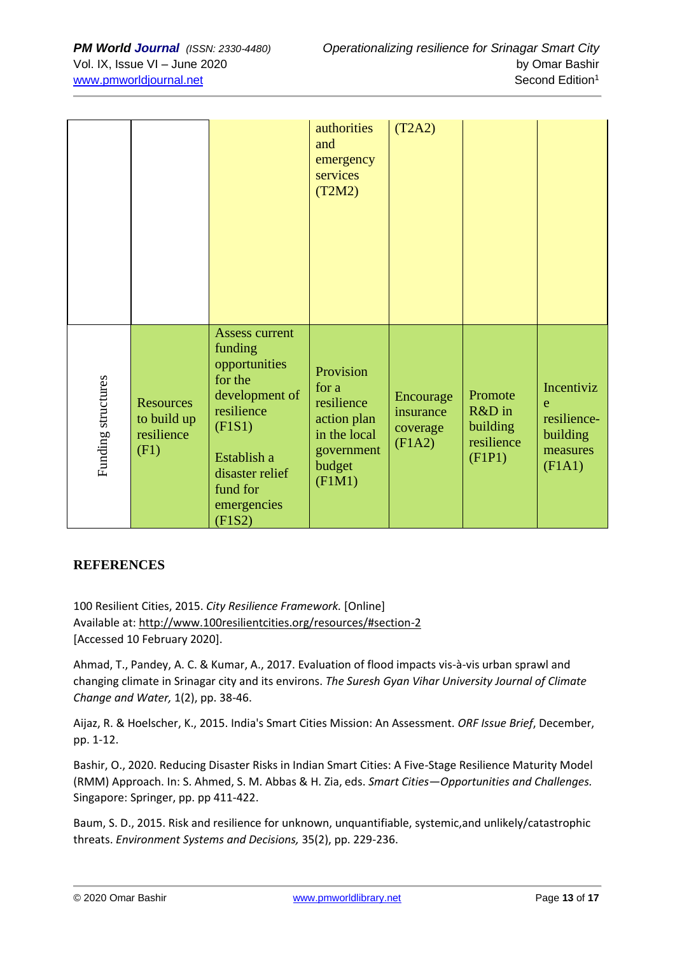|                    |                                                       |                                                                                                                                                                               | authorities<br>and<br>emergency<br>services<br>(T2M2)                                             | (T2A2)                                       |                                                       |                                                                  |
|--------------------|-------------------------------------------------------|-------------------------------------------------------------------------------------------------------------------------------------------------------------------------------|---------------------------------------------------------------------------------------------------|----------------------------------------------|-------------------------------------------------------|------------------------------------------------------------------|
| Funding structures | <b>Resources</b><br>to build up<br>resilience<br>(F1) | <b>Assess current</b><br>funding<br>opportunities<br>for the<br>development of<br>resilience<br>(FIS1)<br>Establish a<br>disaster relief<br>fund for<br>emergencies<br>(F1S2) | Provision<br>for a<br>resilience<br>action plan<br>in the local<br>government<br>budget<br>(FIM1) | Encourage<br>insurance<br>coverage<br>(F1A2) | Promote<br>R&D in<br>building<br>resilience<br>(F1P1) | Incentiviz<br>e<br>resilience-<br>building<br>measures<br>(F1A1) |

## **REFERENCES**

100 Resilient Cities, 2015. *City Resilience Framework.* [Online] Available at: http://www.100resilientcities.org/resources/#section-2 [Accessed 10 February 2020].

Ahmad, T., Pandey, A. C. & Kumar, A., 2017. Evaluation of flood impacts vis-à-vis urban sprawl and changing climate in Srinagar city and its environs. *The Suresh Gyan Vihar University Journal of Climate Change and Water,* 1(2), pp. 38-46.

Aijaz, R. & Hoelscher, K., 2015. India's Smart Cities Mission: An Assessment. *ORF Issue Brief*, December, pp. 1-12.

Bashir, O., 2020. Reducing Disaster Risks in Indian Smart Cities: A Five-Stage Resilience Maturity Model (RMM) Approach. In: S. Ahmed, S. M. Abbas & H. Zia, eds. *Smart Cities—Opportunities and Challenges.*  Singapore: Springer, pp. pp 411-422.

Baum, S. D., 2015. Risk and resilience for unknown, unquantifiable, systemic,and unlikely/catastrophic threats. *Environment Systems and Decisions,* 35(2), pp. 229-236.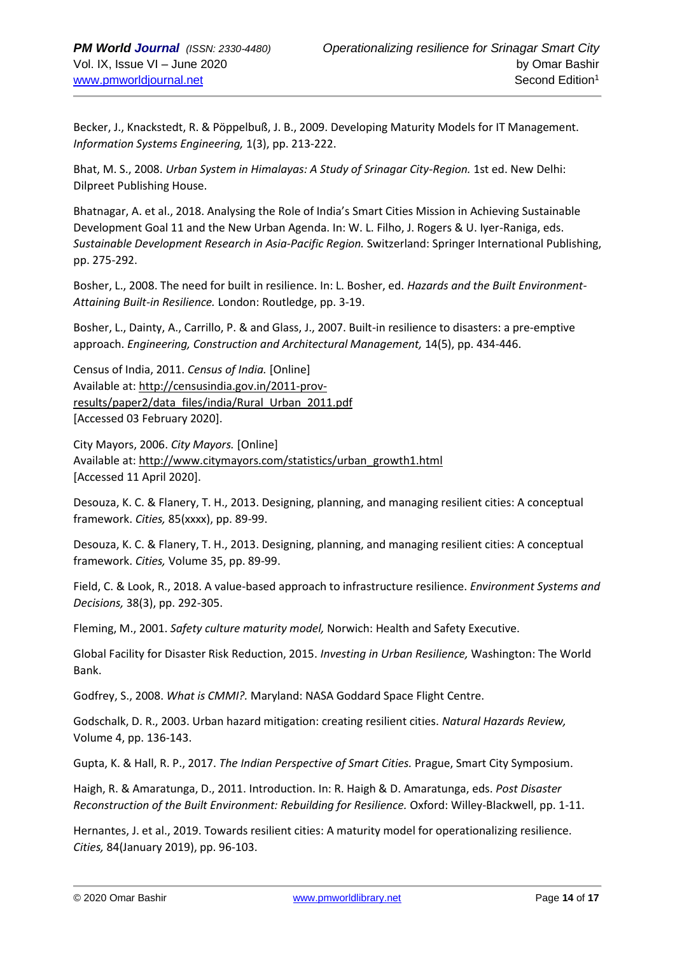Becker, J., Knackstedt, R. & Pöppelbuß, J. B., 2009. Developing Maturity Models for IT Management. *Information Systems Engineering,* 1(3), pp. 213-222.

Bhat, M. S., 2008. *Urban System in Himalayas: A Study of Srinagar City-Region.* 1st ed. New Delhi: Dilpreet Publishing House.

Bhatnagar, A. et al., 2018. Analysing the Role of India's Smart Cities Mission in Achieving Sustainable Development Goal 11 and the New Urban Agenda. In: W. L. Filho, J. Rogers & U. Iyer-Raniga, eds. *Sustainable Development Research in Asia-Pacific Region.* Switzerland: Springer International Publishing, pp. 275-292.

Bosher, L., 2008. The need for built in resilience. In: L. Bosher, ed. *Hazards and the Built Environment-Attaining Built-in Resilience.* London: Routledge, pp. 3-19.

Bosher, L., Dainty, A., Carrillo, P. & and Glass, J., 2007. Built-in resilience to disasters: a pre-emptive approach. *Engineering, Construction and Architectural Management,* 14(5), pp. 434-446.

Census of India, 2011. *Census of India.* [Online] Available at: http://censusindia.gov.in/2011-provresults/paper2/data\_files/india/Rural\_Urban\_2011.pdf [Accessed 03 February 2020].

City Mayors, 2006. *City Mayors.* [Online] Available at: http://www.citymayors.com/statistics/urban\_growth1.html [Accessed 11 April 2020].

Desouza, K. C. & Flanery, T. H., 2013. Designing, planning, and managing resilient cities: A conceptual framework. *Cities,* 85(xxxx), pp. 89-99.

Desouza, K. C. & Flanery, T. H., 2013. Designing, planning, and managing resilient cities: A conceptual framework. *Cities,* Volume 35, pp. 89-99.

Field, C. & Look, R., 2018. A value-based approach to infrastructure resilience. *Environment Systems and Decisions,* 38(3), pp. 292-305.

Fleming, M., 2001. *Safety culture maturity model,* Norwich: Health and Safety Executive.

Global Facility for Disaster Risk Reduction, 2015. *Investing in Urban Resilience,* Washington: The World Bank.

Godfrey, S., 2008. *What is CMMI?.* Maryland: NASA Goddard Space Flight Centre.

Godschalk, D. R., 2003. Urban hazard mitigation: creating resilient cities. *Natural Hazards Review,*  Volume 4, pp. 136-143.

Gupta, K. & Hall, R. P., 2017. *The Indian Perspective of Smart Cities.* Prague, Smart City Symposium.

Haigh, R. & Amaratunga, D., 2011. Introduction. In: R. Haigh & D. Amaratunga, eds. *Post Disaster Reconstruction of the Built Environment: Rebuilding for Resilience.* Oxford: Willey-Blackwell, pp. 1-11.

Hernantes, J. et al., 2019. Towards resilient cities: A maturity model for operationalizing resilience. *Cities,* 84(January 2019), pp. 96-103.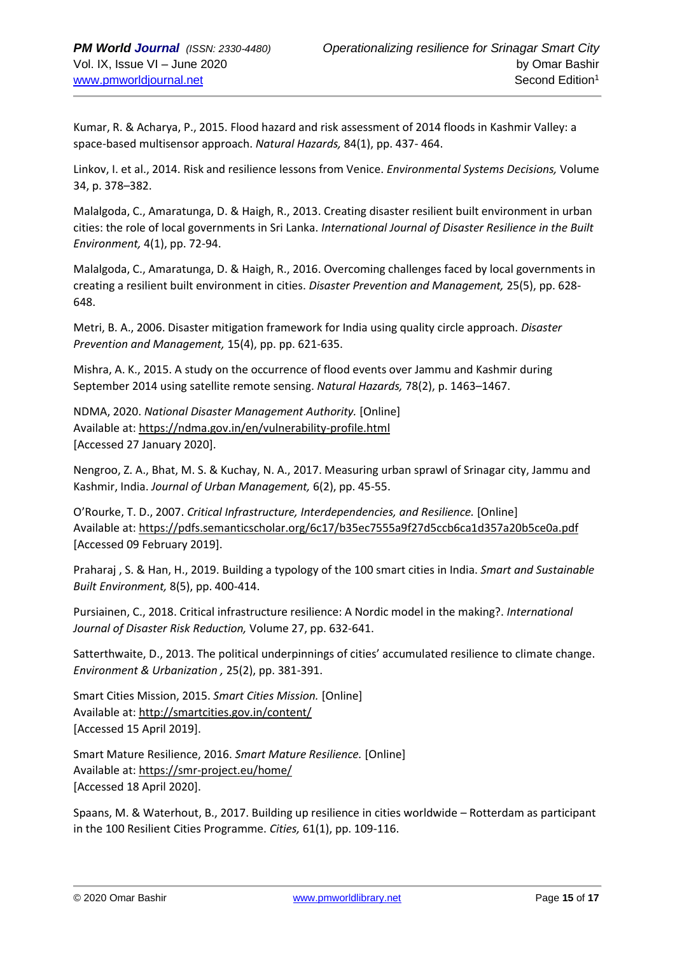Kumar, R. & Acharya, P., 2015. Flood hazard and risk assessment of 2014 floods in Kashmir Valley: a space-based multisensor approach. *Natural Hazards,* 84(1), pp. 437- 464.

Linkov, I. et al., 2014. Risk and resilience lessons from Venice. *Environmental Systems Decisions,* Volume 34, p. 378–382.

Malalgoda, C., Amaratunga, D. & Haigh, R., 2013. Creating disaster resilient built environment in urban cities: the role of local governments in Sri Lanka. *International Journal of Disaster Resilience in the Built Environment,* 4(1), pp. 72-94.

Malalgoda, C., Amaratunga, D. & Haigh, R., 2016. Overcoming challenges faced by local governments in creating a resilient built environment in cities. *Disaster Prevention and Management,* 25(5), pp. 628- 648.

Metri, B. A., 2006. Disaster mitigation framework for India using quality circle approach. *Disaster Prevention and Management,* 15(4), pp. pp. 621-635.

Mishra, A. K., 2015. A study on the occurrence of flood events over Jammu and Kashmir during September 2014 using satellite remote sensing. *Natural Hazards,* 78(2), p. 1463–1467.

NDMA, 2020. *National Disaster Management Authority.* [Online] Available at: https://ndma.gov.in/en/vulnerability-profile.html [Accessed 27 January 2020].

Nengroo, Z. A., Bhat, M. S. & Kuchay, N. A., 2017. Measuring urban sprawl of Srinagar city, Jammu and Kashmir, India. *Journal of Urban Management,* 6(2), pp. 45-55.

O'Rourke, T. D., 2007. *Critical Infrastructure, Interdependencies, and Resilience.* [Online] Available at: https://pdfs.semanticscholar.org/6c17/b35ec7555a9f27d5ccb6ca1d357a20b5ce0a.pdf [Accessed 09 February 2019].

Praharaj , S. & Han, H., 2019. Building a typology of the 100 smart cities in India. *Smart and Sustainable Built Environment,* 8(5), pp. 400-414.

Pursiainen, C., 2018. Critical infrastructure resilience: A Nordic model in the making?. *International Journal of Disaster Risk Reduction,* Volume 27, pp. 632-641.

Satterthwaite, D., 2013. The political underpinnings of cities' accumulated resilience to climate change. *Environment & Urbanization ,* 25(2), pp. 381-391.

Smart Cities Mission, 2015. *Smart Cities Mission.* [Online] Available at: http://smartcities.gov.in/content/ [Accessed 15 April 2019].

Smart Mature Resilience, 2016. *Smart Mature Resilience.* [Online] Available at: https://smr-project.eu/home/ [Accessed 18 April 2020].

Spaans, M. & Waterhout, B., 2017. Building up resilience in cities worldwide – Rotterdam as participant in the 100 Resilient Cities Programme. *Cities,* 61(1), pp. 109-116.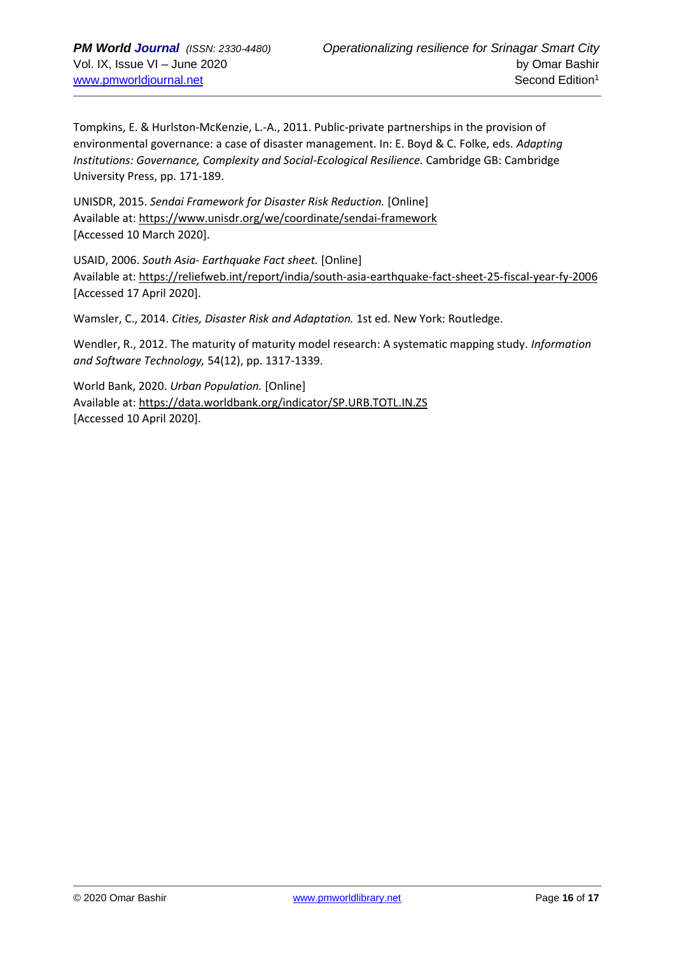Tompkins, E. & Hurlston-McKenzie, L.-A., 2011. Public-private partnerships in the provision of environmental governance: a case of disaster management. In: E. Boyd & C. Folke, eds. *Adapting Institutions: Governance, Complexity and Social-Ecological Resilience.* Cambridge GB: Cambridge University Press, pp. 171-189.

UNISDR, 2015. *Sendai Framework for Disaster Risk Reduction.* [Online] Available at: https://www.unisdr.org/we/coordinate/sendai-framework [Accessed 10 March 2020].

USAID, 2006. *South Asia- Earthquake Fact sheet.* [Online] Available at: https://reliefweb.int/report/india/south-asia-earthquake-fact-sheet-25-fiscal-year-fy-2006 [Accessed 17 April 2020].

Wamsler, C., 2014. *Cities, Disaster Risk and Adaptation.* 1st ed. New York: Routledge.

Wendler, R., 2012. The maturity of maturity model research: A systematic mapping study. *Information and Software Technology,* 54(12), pp. 1317-1339.

World Bank, 2020. *Urban Population.* [Online] Available at: https://data.worldbank.org/indicator/SP.URB.TOTL.IN.ZS [Accessed 10 April 2020].